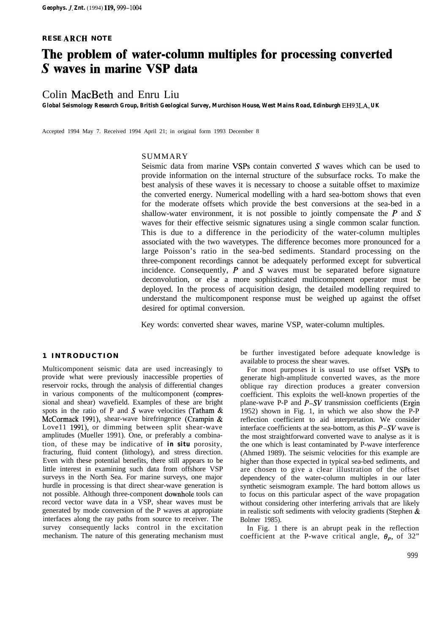#### $\mathbf{R}$ **ESEARCH NOTE**

# **The problem of water-column multiples for processing converted S waves in marine VSP data**

## Colin MacBeth and Enru Liu

*Global Seismology Research Group, British Geological Survey, Murchison House, West Mains Road, Edinburgh EH9 3LA, UK*

Accepted 1994 May 7. Received 1994 April 21; in original form 1993 December 8

### SUMMARY

Seismic data from marine VSPs contain converted S waves which can be used to provide information on the internal structure of the subsurface rocks. To make the best analysis of these waves it is necessary to choose a suitable offset to maximize the converted energy. Numerical modelling with a hard sea-bottom shows that even for the moderate offsets which provide the best conversions at the sea-bed in a shallow-water environment, it is not possible to jointly compensate the  $P$  and  $S$ waves for their effective seismic signatures using a single common scalar function. This is due to a difference in the periodicity of the water-column multiples associated with the two wavetypes. The difference becomes more pronounced for a large Poisson's ratio in the sea-bed sediments. Standard processing on the three-component recordings cannot be adequately performed except for subvertical incidence. Consequently,  $P$  and  $S$  waves must be separated before signature deconvolution, or else a more sophisticated multicomponent operator must be deployed. In the process of acquisition design, the detailed modelling required to understand the multicomponent response must be weighed up against the offset desired for optimal conversion.

Key words: converted shear waves, marine VSP, water-column multiples.

### **1 INTRODUCTION**

Multicomponent seismic data are used increasingly to provide what were previously inaccessible properties of reservoir rocks, through the analysis of differential changes in various components of the multicomponent (compressional and shear) wavefield. Examples of these are bright spots in the ratio of P and S wave velocities (Tatham  $\&$ McCormack 1991), shear-wave birefringence (Crampin & Love11 1991), or dimming between split shear-wave amplitudes (Mueller 1991). One, or preferably a combination, of these may be indicative of *in situ* porosity, fracturing, fluid content (lithology), and stress direction. Even with these potential benefits, there still appears to be little interest in examining such data from offshore VSP surveys in the North Sea. For marine surveys, one major hurdle in processing is that direct shear-wave generation is not possible. Although three-component downhole tools can record vector wave data in a VSP, shear waves must be generated by mode conversion of the P waves at appropiate interfaces along the ray paths from source to receiver. The survey consequently lacks control in the excitation mechanism. The nature of this generating mechanism must be further investigated before adequate knowledge is available to process the shear waves.

For most purposes it is usual to use offset VSPs to generate high-amplitude converted waves, as the more oblique ray direction produces a greater conversion coefficient. This exploits the well-known properties of the plane-wave P-P and *P-W* transmission coefficients (Ergin 1952) shown in Fig. 1, in which we also show the P-P reflection coefficient to aid interpretation. We consider interface coefficients at the sea-bottom, as this *P-W* wave is the most straightforward converted wave to analyse as it is the one which is least contaminated by P-wave interference (Ahmed 1989). The seismic velocities for this example are higher than those expected in typical sea-bed sediments, and are chosen to give a clear illustration of the offset dependency of the water-column multiples in our later synthetic seismogram example. The hard bottom allows us to focus on this particular aspect of the wave propagation without considering other interfering arrivals that are likely in realistic soft sediments with velocity gradients (Stephen  $\&$ Bolmer 1985).

In Fig. 1 there is an abrupt peak in the reflection coefficient at the P-wave critical angle,  $\theta_p$ , of 32"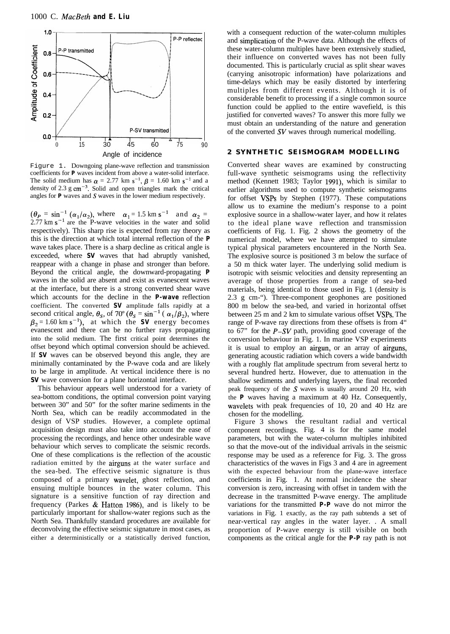

Figure 1. Downgoing plane-wave reflection and transmission coefficients for *P* waves incident from above a water-solid interface. The solid medium has  $\alpha = 2.77$  km s<sup>-1</sup>,  $\beta = 1.60$  km s<sup>-1</sup> and a density of 2.3 g  $cm^{-3}$ . Solid and open triangles mark the critical angles for *P* waves and S waves in the lower medium respectively.

 $(\theta_P = \sin^{-1} (\alpha_1/\alpha_2))$ , where  $\alpha_1 = 1.5$  km s<sup>-1</sup> and  $\alpha_2 =$  $2.77$  km s<sup>-1</sup> are the P-wave velocities in the water and solid respectively). This sharp rise is expected from ray theory as this is the direction at which total internal reflection of the *P* wave takes place. There is a sharp decline as critical angle is exceeded, where *SV* waves that had abruptly vanished, reappear with a change in phase and stronger than before. Beyond the critical angle, the downward-propagating *P* waves in the solid are absent and exist as evanescent waves at the interface, but there is a strong converted shear wave which accounts for the decline in the *P-wave* reflection coefficient. The converted *SV* amplitude falls rapidly at a second critical angle,  $\theta_s$ , of 70° ( $\theta_s = \sin^{-1}$  ( $\alpha_1/\beta_2$ ), where  $\beta_2 = 1.60 \text{ km s}^{-1}$ , at which the **SV** energy becomes evanescent and there can be no further rays propagating into the solid medium. The first critical point determines the offset beyond which optimal conversion should be achieved. If *SV* waves can be observed beyond this angle, they are minimally contaminated by the P-wave coda and are likely to be large in amplitude. At vertical incidence there is no **SV** wave conversion for a plane horizontal interface.

This behaviour appears well understood for a variety of sea-bottom conditions, the optimal conversion point varying between 30" and 50" for the softer marine sediments in the North Sea, which can be readily accommodated in the design of VSP studies. However, a complete optimal acquisition design must also take into account the ease of processing the recordings, and hence other undesirable wave behaviour which serves to complicate the seismic records. One of these complications is the reflection of the acoustic radiation emitted by the airguns at the water surface and the sea-bed. The effective seismic signature is thus composed of a primary wavelet, ghost reflection, and ensuing multiple bounces in the water column. This signature is a sensitive function of ray direction and frequency (Parkes & Hatton 1986), and is likely to be particularly important for shallow-water regions such as the North Sea. Thankfully standard procedures are available for deconvolving the effective seismic signature in most cases, as either a deterministically or a statistically derived function,

with a consequent reduction of the water-column multiples and simplication of the P-wave data. Although the effects of these water-column multiples have been extensively studied, their influence on converted waves has not been fully documented. This is particularly crucial as split shear waves (carrying anisotropic information) have polarizations and time-delays which may be easily distorted by interfering multiples from different events. Although it is of considerable benefit to processing if a single common source function could be applied to the entire wavefield, is this justified for converted waves? To answer this more fully we must obtain an understanding of the nature and generation of the converted *SV* waves through numerical modelling.

#### **2 SYNTHETIC SEISMOGRAM MODELLING**

Converted shear waves are examined by constructing full-wave synthetic seismograms using the reflectivity method (Kennett 1983; Taylor 1991), which is similar to earlier algorithms used to compute synthetic seismograms for offset VSPs by Stephen (1977). These computations allow us to examine the medium's response to a point explosive source in a shallow-water layer, and how it relates to the ideal plane wave reflection and transmission coefficients of Fig. 1. Fig. 2 shows the geometry of the numerical model, where we have attempted to simulate typical physical parameters encountered in the North Sea. The explosive source is positioned 3 m below the surface of a 50 m thick water layer. The underlying solid medium is isotropic with seismic velocities and density representing an average of those properties from a range of sea-bed materials, being identical to those used in Fig. 1 (density is 2.3 g cm-"). Three-component geophones are positioned 800 m below the sea-bed, and varied in horizontal offset between 25 m and 2 km to simulate various offset VSPs. The range of P-wave ray directions from these offsets is from 4" to 67" for the *P-W* path, providing good coverage of the conversion behaviour in Fig. 1. In marine VSP experiments it is usual to employ an airgun, or an array of airguns, generating acoustic radiation which covers a wide bandwidth with a roughly flat amplitude spectrum from several hertz to several hundred hertz. However, due to attenuation in the shallow sediments and underlying layers, the final recorded peak frequency of the S waves is usually around 20 Hz, with the *P* waves having a maximum at 40 Hz. Consequently, wavelets with peak frequencies of 10, 20 and 40 Hz are chosen for the modelling.

Figure 3 shows the resultant radial and vertical component recordings. Fig. 4 is for the same model parameters, but with the water-column multiples inhibited so that the move-out of the individual arrivals in the seismic response may be used as a reference for Fig. 3. The gross characteristics of the waves in Figs 3 and 4 are in agreement with the expected behaviour from the plane-wave interface coefficients in Fig. 1. At normal incidence the shear conversion is zero, increasing with offset in tandem with the decrease in the transmitted P-wave energy. The amplitude variations for the transmitted *P-P* wave do not mirror the variations in Fig. 1 exactly, as the ray path subtends a set of near-vertical ray angles in the water layer. . A small proportion of P-wave energy is still visible on both components as the critical angle for the *P-P* ray path is not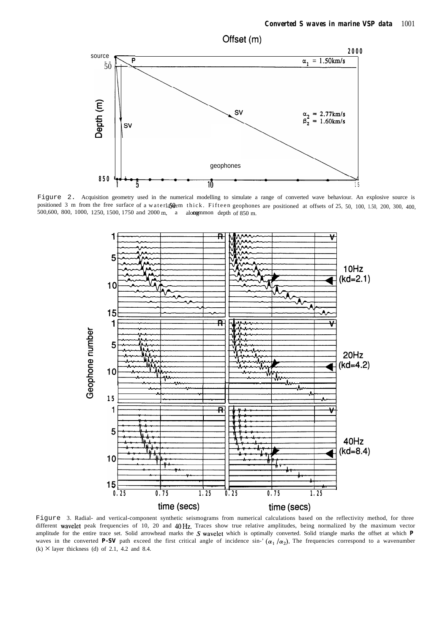

Figure 2. Acquisition geometry used in the numerical modelling to simulate a range of converted wave behaviour. An explosive source is positioned 3 m from the free surface of a waterlayorm thick. Fifteen geophones are positioned at offsets of 25, 50, 100, 1.50, 200, 300, 400, 500,600, 800, 1000, 1250, 1500, 1750 and 2000 m, a common depth of 850 m.



Figure 3. Radial- and vertical-component synthetic seismograms from numerical calculations based on the reflectivity method, for three different wavelet peak frequencies of 10, 20 and 40 Hz. Traces show true relative amplitudes, being normalized by the maximum vector amplitude for the entire trace set. Solid arrowhead marks the S wavelet which is optimally converted. Solid triangle marks the offset at which *P* waves in the converted **P-SV** path exceed the first critical angle of incidence sin-' $(\alpha_1/\alpha_2)$ . The frequencies correspond to a wavenumber  $(k)$  × layer thickness (d) of 2.1, 4.2 and 8.4.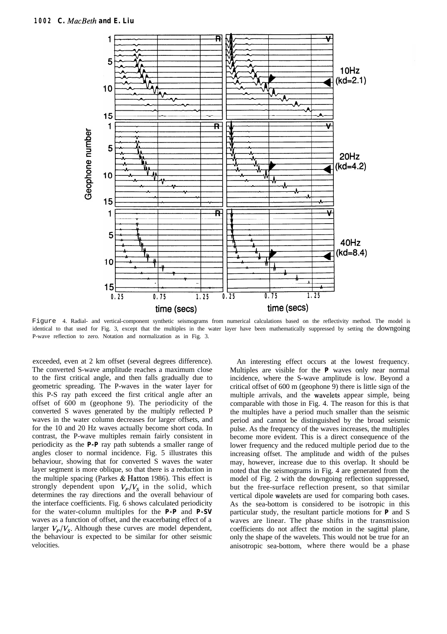

Figure 4. Radial- and vertical-component synthetic seismograms from numerical calculations based on the reflectivity method. The model is identical to that used for Fig. 3, except that the multiples in the water layer have been mathematically suppressed by setting the downgoing P-wave reflection to zero. Notation and normalization as in Fig. 3.

exceeded, even at 2 km offset (several degrees difference). An interesting effect occurs at the lowest frequency.<br>The converted S-wave amplitude reaches a maximum close Multiples are visible for the **P** waves only near nor The converted S-wave amplitude reaches a maximum close Multiples are visible for the *P* waves only near normal to the first critical angle, and then falls gradually due to incidence, where the S-wave amplitude is low. Bey geometric spreading. The P-waves in the water layer for critical offset of 600 m (geophone 9) there is little sign of the this P-S ray path exceed the first critical angle after an multiple arrivals, and the wavelets appear simple, being offset of 600 m (geophone 9). The periodicity of the comparable with those in Fig. 4. The reason for this is that converted S waves generated by the multiply reflected P the multiples have a period much smaller than the seismic waves in the water column decreases for larger offsets, and period and cannot be distinguished by the broad seismic for the 10 and 20 Hz waves actually become short coda. In pulse. As the frequency of the waves increases, the multiples contrast, the P-wave multiples remain fairly consistent in become more evident. This is a direct consequence of the periodicity as the **P-P** ray path subtends a smaller range of lower frequency and the reduced multiple period due to the angles closer to normal incidence. Fig. 5 illustrates this increasing offset. The amplitude and width of the pulses behaviour, showing that for converted S waves the water may, however, increase due to this overlap. It sho layer segment is more oblique, so that there is a reduction in noted that the seismograms in Fig. 4 are generated from the the multiple spacing (Parkes & Hatton 1986). This effect is model of Fig. 2 with the downgoing reflection suppressed, strongly dependent upon  $V_p/V_s$  in the solid, which but the free-surface reflection present, so that similar determines the ray directions and the overall behaviour of vertical dipole wavelets are used for comparing both cases. the interface coefficients. Fig. 6 shows calculated periodicity As the sea-bottom is considered to be isotropic in this for the water-column multiples for the *P-P* and *P-SV* particular study, the resultant particle motions for *P* and S waves as a function of offset, and the exacerbating effect of a waves are linear. The phase shifts in the transmission larger  $V_P/V_S$ . Although these curves are model dependent, coefficients do not affect the motion in the sagittal plane, the behaviour is expected to be similar for other seismic only the shape of the wavelets. This would n velocities. **and a set of the contract of the contract of the contract of the contract of the contract of the contract of the contract of the contract of the contract of the contract of the contract of the contract of the** 

incidence, where the S-wave amplitude is low. Beyond a may, however, increase due to this overlap. It should be only the shape of the wavelets. This would not be true for an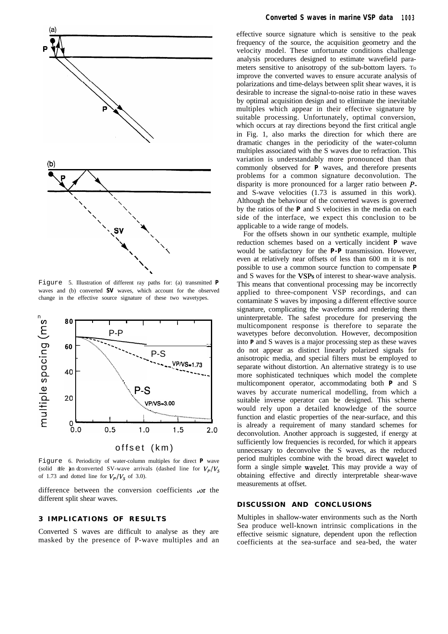

Figure 5. Illustration of different ray paths for: (a) transmitted *P* waves and (b) converted *SV* waves, which account for the observed change in the effective source signature of these two wavetypes.



Figure 6. Periodicity of water-column multiples for direct *P* wave (solid the an converted SV-wave arrivals (dashed line for  $V_P/V_s$ of 1.73 and dotted line for  $V_p/V_s$  of 3.0).

difference between the conversion coefficients or the different split shear waves.

### **3 IMPLICATIONS OF RESULTS**

Converted S waves are difficult to analyse as they are masked by the presence of P-wave multiples and an

### *Converted S waves in marine VSP data* **1003**

effective source signature which is sensitive to the peak frequency of the source, the acquisition geometry and the velocity model. These unfortunate conditions challenge analysis procedures designed to estimate wavefield parameters sensitive to anisotropy of the sub-bottom layers. To improve the converted waves to ensure accurate analysis of polarizations and time-delays between split shear waves, it is desirable to increase the signal-to-noise ratio in these waves by optimal acquisition design and to eliminate the inevitable multiples which appear in their effective signature by suitable processing. Unfortunately, optimal conversion, which occurs at ray directions beyond the first critical angle in Fig. 1, also marks the direction for which there are dramatic changes in the periodicity of the water-column multiples associated with the S waves due to refraction. This variation is understandably more pronounced than that commonly observed for *P* waves, and therefore presents problems for a common signature deconvolution. The disparity is more pronounced for a larger ratio between *P*and S-wave velocities (1.73 is assumed in this work). Although the behaviour of the converted waves is governed by the ratios of the *P* and S velocities in the media on each side of the interface, we expect this conclusion to be applicable to a wide range of models.

For the offsets shown in our synthetic example, multiple reduction schemes based on a vertically incident *P* wave would be satisfactory for the *P-P* transmission. However, even at relatively near offsets of less than 600 m it is not possible to use a common source function to compensate *P* and S waves for the VSPs of interest to shear-wave analysis. This means that conventional processing may be incorrectly applied to three-component VSP recordings, and can contaminate S waves by imposing a different effective source signature, complicating the waveforms and rendering them uninterpretable. The safest procedure for preserving the multicomponent response is therefore to separate the wavetypes before deconvolution. However, decomposition into *P* and S waves is a major processing step as these waves do not appear as distinct linearly polarized signals for anisotropic media, and special filters must be employed to separate without distortion. An alternative strategy is to use more sophisticated techniques which model the complete multicomponent operator, accommodating both *P* and S waves by accurate numerical modelling, from which a suitable inverse operator can be designed. This scheme would rely upon a detailed knowledge of the source function and elastic properties of the near-surface, and this is already a requirement of many standard schemes for deconvolution. Another approach is suggested, if energy at sufficiently low frequencies is recorded, for which it appears unnecessary to deconvolve the S waves, as the reduced period multiples combine with the broad direct wavelet to form a single simple wavelet. This may provide a way of obtaining effective and directly interpretable shear-wave measurements at offset.

#### **DISCUSSION AND CONCLUSIONS**

Multiples in shallow-water environments such as the North Sea produce well-known intrinsic complications in the effective seismic signature, dependent upon the reflection coefficients at the sea-surface and sea-bed, the water